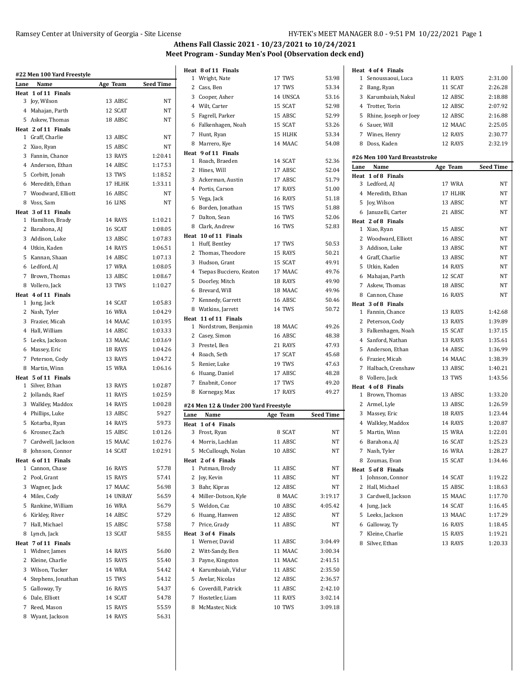# Ramsey Center at University of Georgia - Site License HY-TEK's MEET MANAGER 8.0 - 9:51 PM 10/22/2021 Page 1

| Lane | #22 Men 100 Yard Freestyle  | Age Team      | <b>Seed Time</b> |
|------|-----------------------------|---------------|------------------|
|      | Name<br>Heat 1 of 11 Finals |               |                  |
| 3    | Joy, Wilson                 | 13 ABSC       | NΤ               |
|      | 4 Mahajan, Parth            | 12 SCAT       | NT               |
|      | 5 Askew, Thomas             | 18 ABSC       | NT               |
|      | Heat 2 of 11 Finals         |               |                  |
|      | 1 Graff, Charlie            | 13 ABSC       | NT               |
|      | 2 Xiao, Ryan                | 15 ABSC       | NT               |
|      | 3 Fannin, Chance            | 13 RAYS       | 1:20.41          |
|      | 4 Anderson, Ethan           | 14 ABSC       | 1:17.53          |
|      | 5 Corbitt, Jonah            | 13 TWS        | 1:18.52          |
|      | 6 Meredith, Ethan           |               | 1:33.11          |
|      |                             | 17 HLHK       |                  |
|      | 7 Woodward, Elliott         | 16 ABSC       | NT               |
|      | 8 Voss, Sam                 | 16 LINS       | NΤ               |
|      | Heat 3 of 11 Finals         | 14 RAYS       | 1:10.21          |
| 2    | 1 Hamilton, Brady           | 16 SCAT       | 1:08.05          |
|      | Barahona, AJ                |               |                  |
|      | 3 Addison, Luke             | 13 ABSC       | 1:07.83          |
|      | 4 Utkin, Kaden              | 14 RAYS       | 1:06.51          |
| 5    | Kannan, Shaan               | 14 ABSC       | 1:07.13          |
|      | 6 Ledford, AJ               | 17 WRA        | 1:08.05          |
|      | 7 Brown, Thomas             | 13 ABSC       | 1:08.67          |
|      | 8 Vollero, Jack             | 13 TWS        | 1:10.27          |
|      | Heat 4 of 11 Finals         |               |                  |
|      | 1 Jung, Jack                | 14 SCAT       | 1:05.83          |
|      | 2 Nash, Tyler               | <b>16 WRA</b> | 1:04.29          |
|      | 3 Frazier, Micah            | 14 MAAC       | 1:03.95          |
|      | 4 Hall, William             | 14 ABSC       | 1:03.33          |
| 5    | Leeks, Jackson              | 13 MAAC       | 1:03.69          |
| 6    | Massey, Eric                | 18 RAYS       | 1:04.26          |
|      | 7 Peterson, Cody            | 13 RAYS       | 1:04.72          |
| 8    | Martin, Winn                | 15 WRA        | 1:06.16          |
|      | Heat 5 of 11 Finals         |               |                  |
| 1    | Silver, Ethan               | 13 RAYS       | 1:02.87          |
|      | 2 Jollands, Raef            | 11 RAYS       | 1:02.59          |
|      | 3 Walkley, Maddox           | 14 RAYS       | 1:00.28          |
|      | 4 Phillips, Luke            | 13 ABSC       | 59.27            |
| 5    | Kotarba, Ryan               | 14 RAYS       | 59.73            |
| 6    | Krosner, Zach               | 15 ABSC       | 1:01.26          |
|      | 7 Cardwell, Jackson         | 15 MAAC       | 1:02.76          |
| 8    | Johnson, Connor             | 14 SCAT       | 1:02.91          |
|      | Heat 6 of 11 Finals         |               |                  |
| 1    | Cannon, Chase               | 16 RAYS       | 57.78            |
| 2    | Pool, Grant                 | 15 RAYS       | 57.41            |
|      | 3 Wagner, Jack              | 17 MAAC       | 56.98            |
|      | 4 Miles, Cody               | 14 UNRAY      | 56.59            |
| 5    | Rankine, William            | <b>16 WRA</b> | 56.79            |
| 6    | Kirkley, River              | 14 ABSC       | 57.29            |
| 7    | Hall, Michael               | 15 ABSC       | 57.58            |
| 8    | Lynch, Jack                 | 13 SCAT       | 58.55            |
|      | Heat 7 of 11 Finals         |               |                  |
| 1    | Widner, James               | 14 RAYS       | 56.00            |
| 2    | Kleine, Charlie             | 15 RAYS       | 55.40            |
|      | 3 Wilson, Tucker            | <b>14 WRA</b> | 54.42            |
|      | 4 Stephens, Jonathan        | 15 TWS        | 54.12            |
| 5    | Galloway, Ty                | 16 RAYS       | 54.37            |
| 6    | Dale, Elliott               | 14 SCAT       | 54.78            |
| 7    | Reed, Mason                 | 15 RAYS       | 55.59            |
|      | 8 Wyant, Jackson            | 14 RAYS       | 56.31            |
|      |                             |               |                  |

|      | Heat 8 of 11 Finals                   |               |                  |
|------|---------------------------------------|---------------|------------------|
|      | 1 Wright, Nate                        | 17 TWS        | 53.98            |
|      | 2 Cass, Ben                           | 17 TWS        | 53.34            |
|      | 3 Cooper, Asher                       | 14 UNSCA      | 53.16            |
|      | 4 Wilt, Carter                        | 15 SCAT       | 52.98            |
|      | 5 Fagrell, Parker                     | 15 ABSC       | 52.99            |
|      | 6 Falkenhagen, Noah                   | 15 SCAT       | 53.26            |
|      | 7 Hunt, Ryan                          | 15 HLHK       | 53.34            |
|      | 8 Marrero, Kye                        | 14 MAAC       | 54.08            |
|      | Heat 9 of 11 Finals                   |               |                  |
|      | 1 Roach, Braeden                      | 14 SCAT       | 52.36            |
|      | 2 Hines, Will                         | 17 ABSC       | 52.04            |
|      | 3 Ackerman, Austin                    | 17 ABSC       | 51.79            |
|      | 4 Portis, Carson                      | 17 RAYS       | 51.00            |
|      | 5 Vega, Jack                          | 16 RAYS       | 51.18            |
|      | 6 Borden, Jonathan                    | 15 TWS        | 51.88            |
|      | 7 Dalton, Sean                        | 16 TWS        | 52.06            |
|      | 8 Clark, Andrew                       | <b>16 TWS</b> | 52.83            |
|      | Heat 10 of 11 Finals                  |               |                  |
|      | 1 Huff, Bentley                       | 17 TWS        | 50.53            |
|      | 2 Thomas, Theodore                    | 15 RAYS       | 50.21            |
|      | 3 Hudson, Grant                       | 15 SCAT       | 49.91            |
|      | 4 Tsepas Bucciero, Keaton             | 17 MAAC       | 49.76            |
|      | 5 Doorley, Mitch                      | 18 RAYS       | 49.90            |
|      | 6 Brevard, Will                       | 18 MAAC       | 49.96            |
|      | 7 Kennedy, Garrett                    | 16 ABSC       | 50.46            |
|      | 8 Watkins, Jarrett                    | 14 TWS        | 50.72            |
|      | Heat 11 of 11 Finals                  |               |                  |
|      | 1 Nordstrom, Benjamin                 | 18 MAAC       | 49.26            |
|      | 2 Casey, Simon                        | 16 ABSC       | 48.38            |
|      | 3 Prestel, Ben                        | 21 RAYS       | 47.93            |
|      | 4 Roach, Seth                         | 17 SCAT       | 45.68            |
|      | 5 Renier, Luke                        | 19 TWS        | 47.63            |
|      | 6 Huang, Daniel                       | 17 ABSC       | 48.28            |
|      | 7 Enabnit, Conor                      | 17 TWS        | 49.20            |
|      | 8 Kornegay, Max                       | 17 RAYS       | 49.27            |
|      | #24 Men 12 & Under 200 Yard Freestyle |               |                  |
| Lane | Name                                  | Age Team      | <b>Seed Time</b> |
|      | Heat 1 of 4 Finals                    |               |                  |
|      | 3 Frost, Ryan                         | 8 SCAT        | ΝT               |
|      | 4 Morris, Lachlan                     | 11 ABSC       | NT               |
|      | 5 McCullough, Nolan                   | 10 ABSC       | NT               |
|      | Heat 2 of 4 Finals                    |               |                  |
|      | 1 Putman, Brody                       | 11 ABSC       | ΝT               |
|      | 2 Joy, Kevin                          | 11 ABSC       | ΝT               |
|      | 3 Bahr, Kipras                        | 12 ABSC       | <b>NT</b>        |
|      | 4 Miller-Dotson, Kyle                 | 8 MAAC        | 3:19.17          |
|      | 5 Weldon, Caz                         | 10 ABSC       | 4:05.42          |
|      | 6 Huang, Hanwen                       | 12 ABSC       | <b>NT</b>        |
|      | 7 Price, Grady                        | 11 ABSC       | NT               |
|      | Heat 3 of 4 Finals                    |               |                  |
|      | 1 Werner, David                       | 11 ABSC       | 3 04 49          |
|      | 2 Witt-Sandy, Ben                     | 11 MAAC       | 3:00.34          |
|      | 3 Payne, Kingston                     | 11 MAAC       | 2:41.51          |
|      | 4 Karumbaiah, Vidur                   | 11 ABSC       | 2:35.50          |
|      | 5 Avelar, Nicolas                     | 12 ABSC       | 2:36.57          |
|      | 6 Coverdill, Patrick                  | 11 ABSC       | 2:42.10          |
|      | 7 Hostetler, Liam                     | 11 RAYS       | 3:02.14          |
|      | 8 McMaster, Nick                      | 10 TWS        | 3:09.18          |
|      |                                       |               |                  |

|      | Heat 4 of 4 Finals            |               |                  |
|------|-------------------------------|---------------|------------------|
| 1    | Senoussaoui, Luca             | 11 RAYS       | 2:31.00          |
|      | 2 Bang, Ryan                  | 11 SCAT       | 2:26.28          |
|      | 3 Karumbaiah, Nakul           | 12 ABSC       | 2:18.88          |
|      | 4 Trotter, Torin              | 12 ABSC       | 2:07.92          |
|      | 5 Rhine, Joseph or Joey       | 12 ABSC       | 2:16.88          |
|      | 6 Sauer, Will                 | 12 MAAC       | 2:25.05          |
|      | 7 Wines, Henry                | 12 RAYS       | 2:30.77          |
| 8    | Doss, Kaden                   | 12 RAYS       | 2:32.19          |
|      | #26 Men 100 Yard Breaststroke |               |                  |
| Lane | Name                          | Age Team      | <b>Seed Time</b> |
|      | Heat 1 of 8 Finals            |               |                  |
|      | 3 Ledford, AJ                 | 17 WRA        | NT               |
|      | 4 Meredith, Ethan             | 17 HLHK       | NΤ               |
|      | 5 Joy, Wilson                 | 13 ABSC       | NΤ               |
|      | 6 Januzelli, Carter           | 21 ABSC       | NT               |
|      | Heat 2 of 8 Finals            |               |                  |
|      | 1 Xiao, Ryan                  | 15 ABSC       | NT               |
|      | 2 Woodward, Elliott           | 16 ABSC       | NΤ               |
|      | 3 Addison, Luke               | 13 ABSC       | NΤ               |
|      | 4 Graff, Charlie              | 13 ABSC       | NT               |
|      | 5 Utkin, Kaden                | 14 RAYS       | NΤ               |
|      | 6 Mahajan, Parth              | 12 SCAT       | NT               |
|      | 7 Askew, Thomas               | 18 ABSC       | NT               |
|      | 8 Cannon, Chase               | 16 RAYS       | NΤ               |
|      | Heat 3 of 8 Finals            |               |                  |
|      | 1 Fannin, Chance              | 13 RAYS       | 1:42.68          |
|      | 2 Peterson, Cody              | 13 RAYS       | 1:39.89          |
|      | 3 Falkenhagen, Noah           | 15 SCAT       | 1:37.15          |
|      | 4 Sanford, Nathan             | 13 RAYS       | 1:35.61          |
|      | 5 Anderson, Ethan             | 14 ABSC       | 1:36.99          |
|      | 6 Frazier, Micah              | 14 MAAC       | 1:38.39          |
|      | 7 Halbach, Crenshaw           | 13 ABSC       | 1:40.21          |
|      | 8 Vollero, Jack               | 13 TWS        | 1:43.56          |
|      | Heat 4 of 8 Finals            |               |                  |
| 1    | Brown, Thomas                 | 13 ABSC       | 1:33.20          |
|      | 2 Armel, Lyle                 | 13 ABSC       | 1:26.59          |
|      | 3 Massey, Eric                | 18 RAYS       | 1:23.44          |
|      | 4 Walkley, Maddox             | 14 RAYS       | 1:20.87          |
|      | 5 Martin, Winn                | 15 WRA        | 1:22.01          |
| 6    | Barahona, AJ                  | 16 SCAT       | 1:25.23          |
|      | 7 Nash, Tyler                 | <b>16 WRA</b> | 1:28.27          |
|      | 8 Zoumas, Evan                | 15 SCAT       | 1:34.46          |
|      | Heat 5 of 8 Finals            |               |                  |
|      | 1 Johnson, Connor             | 14 SCAT       | 1:19.22          |
|      | 2 Hall, Michael               | 15 ABSC       | 1:18.63          |
|      | 3 Cardwell, Jackson           | 15 MAAC       | 1:17.70          |
|      | 4 Jung, Jack                  | 14 SCAT       | 1:16.45          |
|      | 5 Leeks, Jackson              | 13 MAAC       | 1:17.29          |
|      | 6 Galloway, Ty                | 16 RAYS       | 1:18.45          |
| 7    | Kleine, Charlie               | 15 RAYS       | 1:19.21          |
| 8    | Silver, Ethan                 | 13 RAYS       | 1:20.33          |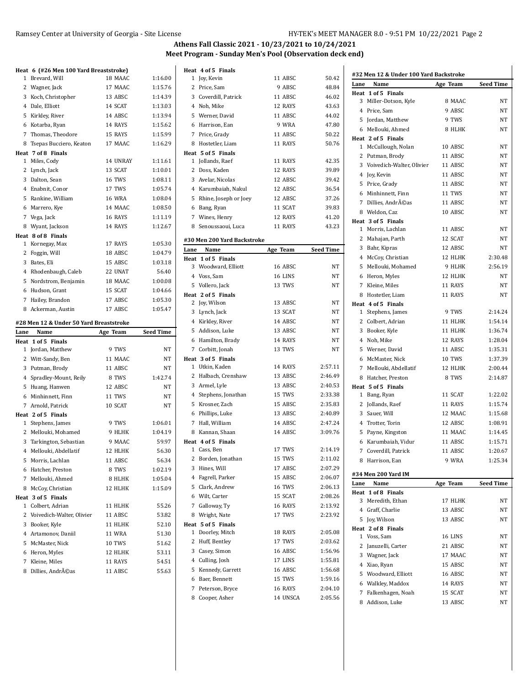|      | Heat 6 (#26 Men 100 Yard Breaststroke)          |                    |                  | Heat 4 of 5 1                |
|------|-------------------------------------------------|--------------------|------------------|------------------------------|
| 1    | Brevard, Will                                   | 18 MAAC            | 1:16.00          | 1 Joy, Kevi                  |
|      | 2 Wagner, Jack                                  | 17 MAAC            | 1:15.76          | 2 Price, Sa                  |
|      | 3 Koch, Christopher                             | 13 ABSC            | 1:14.39          | 3 Coverdil                   |
|      | 4 Dale, Elliott                                 | 14 SCAT            | 1:13.03          | 4 Noh, Mik                   |
|      | 5 Kirkley, River                                | 14 ABSC            | 1:13.94          | 5 Werner,                    |
|      | 6 Kotarba, Ryan                                 | 14 RAYS            | 1:15.62          | 6 Harrison                   |
| 7    | Thomas, Theodore                                | 15 RAYS            | 1:15.99          | $\overline{7}$<br>Price, Gr  |
| 8    | Tsepas Bucciero, Keaton                         | 17 MAAC            | 1:16.29          | Hostetle:<br>8               |
|      | Heat 7 of 8 Finals                              |                    |                  | Heat 5 of 5 1                |
|      | 1 Miles, Cody                                   | 14 UNRAY           | 1:11.61          | 1 Jollands,                  |
|      | 2 Lynch, Jack                                   | 13 SCAT            | 1:10.01          | 2 Doss, Ka                   |
|      | 3 Dalton, Sean                                  | <b>16 TWS</b>      | 1:08.11          | 3 Avelar, N                  |
|      | 4 Enabnit, Conor                                | 17 TWS             | 1:05.74          | 4 Karumba                    |
|      | 5 Rankine, William                              | <b>16 WRA</b>      | 1:08.04          | 5 Rhine, Jo                  |
|      | 6 Marrero, Kye                                  | 14 MAAC            | 1:08.50          | 6 Bang, Ry                   |
| 7    | Vega, Jack                                      | 16 RAYS            | 1:11.19          | Wines, H<br>7                |
|      | 8 Wyant, Jackson                                | 14 RAYS            | 1:12.67          | 8 Senoussa                   |
|      | Heat 8 of 8 Finals                              |                    |                  | #30 Men 200                  |
|      | 1 Kornegay, Max                                 | 17 RAYS            | 1:05.30          | Lane<br>Name                 |
| 2    | Foggin, Will                                    | 18 ABSC            | 1:04.79          | Heat 1 of 5 1                |
|      | 3 Bates, Eli                                    | 15 ABSC            | 1:03.18          | 3 Woodwa                     |
|      | 4 Rhodenbaugh, Caleb                            | 22 UNAT            | 56.40            | 4 Voss, Sar                  |
|      | 5 Nordstrom, Benjamin                           | 18 MAAC            | 1:00.08          | 5 Vollero, J                 |
|      | 6 Hudson, Grant                                 | 15 SCAT            | 1:04.66          | Heat 2 of 5 1                |
| 7    | Hailey, Brandon                                 | 17 ABSC            | 1:05.30          | 2 Joy, Wils                  |
|      | 8 Ackerman, Austin                              | 17 ABSC            | 1:05.47          | 3 Lynch, Ja                  |
|      |                                                 |                    |                  | 4 Kirkley, I                 |
|      |                                                 |                    |                  |                              |
| Lane | #28 Men 12 & Under 50 Yard Breaststroke<br>Name | Age Team           | <b>Seed Time</b> | 5 Addison,                   |
|      | Heat 1 of 5 Finals                              |                    |                  | 6 Hamiltor                   |
|      | 1 Jordan, Matthew                               | 9 TWS              | NT               | Corbitt, J<br>7              |
|      | 2 Witt-Sandy, Ben                               | 11 MAAC            | NT               | Heat 3 of 5 1                |
|      | 3 Putman, Brody                                 | 11 ABSC            | NT               | 1 Utkin, Ka                  |
|      | 4 Spradley-Mount, Reily                         | 8 TWS              | 1:42.74          | 2 Halbach,                   |
|      | 5 Huang, Hanwen                                 | 12 ABSC            | NT               | 3 Armel, L <sub>i</sub>      |
|      | 6 Minhinnett, Finn                              | 11 TWS             | NT               | 4 Stephens                   |
|      | 7 Arnold, Patrick                               | 10 SCAT            | NT               | 5 Krosner,                   |
|      | Heat 2 of 5 Finals                              |                    |                  | 6 Phillips,                  |
|      | 1 Stephens, James                               | 9 TWS              | 1:06.01          | Hall, Wil<br>7               |
|      | 2 Mellouki, Mohamed                             | 9 HLHK             | 1:04.19          | 8 Kannan,                    |
|      | 3 Tarkington, Sebastian                         | 9 MAAC             | 59.97            | Heat 4 of 5 1                |
|      | 4 Mellouki, Abdellatif                          | 12 HLHK            | 56.30            | 1 Cass, Bei                  |
|      | 5 Morris, Lachlan                               | 11 ABSC            | 56.34            | 2 Borden,                    |
|      | 6 Hatcher, Preston                              | 8 TWS              | 1:02.19          | 3<br>Hines, W                |
|      | 7 Mellouki, Ahmed                               | 8 HLHK             | 1:05.04          | 4 Fagrell, I                 |
|      | 8 McCoy, Christian                              | 12 HLHK            | 1:15.09          | 5 Clark, Ar                  |
|      | Heat 3 of 5 Finals                              |                    |                  | 6 Wilt, Car                  |
|      | 1 Colbert, Adrian                               | 11 HLHK            | 55.26            | Galloway<br>7                |
|      | 2 Voivedich-Walter, Olivier                     | 11 ABSC            | 53.82            | 8 Wright, I                  |
|      | 3 Booker, Kyle                                  | 11 HLHK            | 52.10            | Heat 5 of 5 1                |
|      | 4 Artamonov, Daniil                             | 11 WRA             | 51.30            | 1<br>Doorley,                |
|      | 5 McMaster, Nick                                | 10 TWS             | 51.62            | Huff, Ber<br>2               |
|      | 6 Heron, Myles                                  | 12 HLHK            | 53.11            | 3 Casey, Si                  |
|      | 7 Kleine, Miles<br>8 Dillies, Andréas           | 11 RAYS<br>11 ABSC | 54.51<br>55.63   | 4 Culling, J<br>5<br>Kennedy |

|      | Heat 4 of 5 Finals          |               |                  |
|------|-----------------------------|---------------|------------------|
|      | 1 Joy, Kevin                | 11 ABSC       | 50.42            |
|      | 2 Price, Sam                | 9 ABSC        | 48.84            |
|      | 3 Coverdill, Patrick        | 11 ABSC       | 46.02            |
|      | 4 Noh, Mike                 | 12 RAYS       | 43.63            |
|      | 5 Werner, David             | 11 ABSC       | 44.02            |
|      | 6 Harrison, Ean             | 9 WRA         | 47.80            |
|      | 7 Price, Grady              | 11 ABSC       | 50.22            |
|      | 8 Hostetler, Liam           | 11 RAYS       | 50.76            |
|      | Heat 5 of 5 Finals          |               |                  |
|      | 1 Jollands, Raef            | 11 RAYS       | 42.35            |
|      | 2 Doss, Kaden               | 12 RAYS       | 39.89            |
|      | 3 Avelar, Nicolas           | 12 ABSC       | 39.42            |
|      | 4 Karumbaiah, Nakul         | 12 ABSC       | 36.54            |
|      | 5 Rhine, Joseph or Joey     | 12 ABSC       | 37.26            |
|      | 6 Bang, Ryan                | 11 SCAT       | 39.83            |
|      | 7 Wines, Henry              | 12 RAYS       | 41.20            |
|      | 8 Senoussaoui, Luca         | 11 RAYS       | 43.23            |
|      |                             |               |                  |
|      | #30 Men 200 Yard Backstroke |               |                  |
| Lane | Name                        | Age Team      | <b>Seed Time</b> |
|      | Heat 1 of 5 Finals          |               |                  |
|      | 3 Woodward, Elliott         | 16 ABSC       | NΤ               |
|      | 4 Voss, Sam                 | 16 LINS       | NΤ               |
|      | 5 Vollero, Jack             | 13 TWS        | NT               |
|      | Heat 2 of 5 Finals          |               |                  |
|      | 2 Joy, Wilson               | 13 ABSC       | NΤ               |
|      | 3 Lynch, Jack               | 13 SCAT       | NΤ               |
|      | 4 Kirkley, River            | 14 ABSC       | NΤ               |
|      | 5 Addison, Luke             | 13 ABSC       | NΤ               |
|      | 6 Hamilton, Brady           | 14 RAYS       | NΤ               |
|      | 7 Corbitt, Jonah            | 13 TWS        | NT               |
|      | Heat 3 of 5 Finals          |               |                  |
|      | 1 Utkin, Kaden              | 14 RAYS       | 2:57.11          |
|      | 2 Halbach, Crenshaw         | 13 ABSC       | 2:46.49          |
|      | 3 Armel, Lyle               | 13 ABSC       | 2:40.53          |
|      | 4 Stephens, Jonathan        | 15 TWS        | 2:33.38          |
|      | 5 Krosner, Zach             | 15 ABSC       | 2:35.83          |
|      | 6 Phillips, Luke            | 13 ABSC       | 2:40.89          |
|      | 7 Hall, William             | 14 ABSC       | 2:47.24          |
|      | 8 Kannan, Shaan             | 14 ABSC       | 3:09.76          |
|      | Heat 4 of 5 Finals          |               |                  |
|      | 1 Cass, Ben                 | 17 TWS        | 2:14.19          |
| 2    | Borden, Jonathan            | 15 TWS        | 2:11.02          |
| 3    | Hines, Will                 | 17 ABSC       | 2:07.29          |
|      | 4 Fagrell, Parker           | 15 ABSC       | 2:06.07          |
|      | 5 Clark, Andrew             | <b>16 TWS</b> | 2:06.13          |
|      | 6 Wilt, Carter              | 15 SCAT       | 2:08.26          |
| 7    | Galloway, Ty                | 16 RAYS       | 2:13.92          |
| 8    | Wright, Nate                | 17 TWS        | 2:23.92          |
|      | Heat 5 of 5 Finals          |               |                  |
| 1    | Doorley, Mitch              | 18 RAYS       | 2:05.08          |
| 2    | Huff, Bentley               | 17 TWS        | 2:03.62          |
| 3    | Casey, Simon                | 16 ABSC       | 1:56.96          |
|      | 4 Culling, Josh             | 17 LINS       | 1:55.81          |
| 5    | Kennedy, Garrett            | 16 ABSC       | 1:56.68          |
| 6    | Baer, Bennett               | 15 TWS        | 1:59.16          |
| 7    | Peterson, Bryce             | 16 RAYS       | 2:04.10          |
| 8    | Cooper, Asher               | 14 UNSCA      | 2:05.56          |
|      |                             |               |                  |

|      | #32 Men 12 & Under 100 Yard Backstroke |          |                  |
|------|----------------------------------------|----------|------------------|
| Lane | Name                                   | Age Team | <b>Seed Time</b> |
|      | Heat 1 of 5 Finals                     |          |                  |
|      | 3 Miller-Dotson, Kyle                  | 8 MAAC   | NΤ               |
|      | 4 Price, Sam                           | 9 ABSC   | NT               |
|      | 5 Jordan, Matthew                      | 9 TWS    | NΤ               |
|      | 6 Mellouki, Ahmed                      | 8 HLHK   | NT               |
|      | Heat 2 of 5 Finals                     |          |                  |
|      | 1 McCullough, Nolan                    | 10 ABSC  | NT               |
|      | 2 Putman, Brody                        | 11 ABSC  | NT               |
|      | 3 Voivedich-Walter, Olivier            | 11 ABSC  | NT               |
|      | 4 Joy, Kevin                           | 11 ABSC  | NΤ               |
|      | 5 Price, Grady                         | 11 ABSC  | NΤ               |
|      | 6 Minhinnett, Finn                     | 11 TWS   | NT               |
|      | 7 Dillies, Andréas                     | 11 ABSC  | NT               |
|      | 8 Weldon, Caz                          | 10 ABSC  | NT               |
|      | Heat 3 of 5 Finals                     |          |                  |
|      | 1 Morris, Lachlan                      | 11 ABSC  | NΤ               |
|      | 2 Mahajan, Parth                       | 12 SCAT  | NΤ               |
|      | 3 Bahr, Kipras                         | 12 ABSC  | NT               |
|      | 4 McCoy, Christian                     | 12 HLHK  | 2:30.48          |
|      | 5 Mellouki, Mohamed                    | 9 HLHK   | 2:56.19          |
|      | 6 Heron, Myles                         | 12 HLHK  | NΤ               |
|      | 7 Kleine, Miles                        | 11 RAYS  | NΤ               |
|      | 8 Hostetler, Liam                      | 11 RAYS  | NT               |
|      | Heat 4 of 5 Finals                     |          |                  |
|      | 1 Stephens, James                      | 9 TWS    | 2:14.24          |
|      | 2 Colbert, Adrian                      | 11 HLHK  | 1:54.14          |
|      | 3 Booker, Kyle                         | 11 HLHK  | 1:36.74          |
|      | 4 Noh, Mike                            | 12 RAYS  | 1:28.04          |
|      | 5 Werner, David                        | 11 ABSC  | 1:35.31          |
|      | 6 McMaster, Nick                       | 10 TWS   | 1:37.39          |
|      | 7 Mellouki, Abdellatif                 | 12 HLHK  | 2:00.44          |
|      | 8 Hatcher, Preston                     | 8 TWS    | 2:14.87          |
|      | Heat 5 of 5 Finals                     |          |                  |
|      | 1 Bang, Ryan                           | 11 SCAT  | 1:22.02          |
|      | 2 Jollands, Raef                       | 11 RAYS  | 1:15.74          |
|      | 3 Sauer, Will                          | 12 MAAC  | 1:15.68          |
|      | 4 Trotter, Torin                       | 12 ABSC  | 1:08.91          |
|      | 5 Payne, Kingston                      | 11 MAAC  | 1:14.45          |
|      | 6 Karumbaiah, Vidur                    | 11 ABSC  | 1:15.71          |
|      | 7 Coverdill, Patrick                   | 11 ABSC  | 1:20.67          |
|      |                                        |          | 1:25.34          |
|      | 8 Harrison, Ean                        | 9 WRA    |                  |
|      | #34 Men 200 Yard IM                    |          |                  |
| Lane | Name                                   | Age Team | Seed Time        |
|      | Heat 1 of 8 Finals                     |          |                  |
|      | 3 Meredith, Ethan                      | 17 HLHK  | NT               |
|      | 4 Graff, Charlie                       | 13 ABSC  | NΤ               |
|      | 5 Joy, Wilson                          | 13 ABSC  | NΤ               |
|      | Heat 2 of 8 Finals                     |          |                  |
|      | 1 Voss, Sam                            | 16 LINS  | NT               |
|      | 2 Januzelli, Carter                    | 21 ABSC  | NΤ               |
|      | 3 Wagner, Jack                         | 17 MAAC  | NT               |
|      | 4 Xiao, Ryan                           | 15 ABSC  | NΤ               |
|      | 5 Woodward, Elliott                    | 16 ABSC  | NΤ               |
|      | 6 Walkley, Maddox                      | 14 RAYS  | NT               |
|      | 7 Falkenhagen, Noah                    | 15 SCAT  | NT               |
|      | 8 Addison, Luke                        | 13 ABSC  | NΤ               |
|      |                                        |          |                  |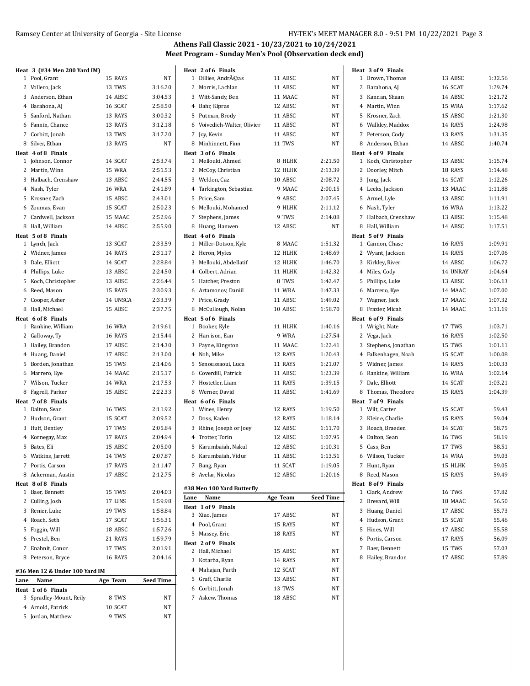| Heat 3 (#34 Men 200 Yard IM)          |               |                  | Heat 2 of 6 Finals                   |               |                  | Heat 3 of 9 Finals                    |               |         |
|---------------------------------------|---------------|------------------|--------------------------------------|---------------|------------------|---------------------------------------|---------------|---------|
| 1 Pool, Grant                         | 15 RAYS       | NT               | 1 Dillies, Andréas                   | 11 ABSC       | NT               | 1 Brown, Thomas                       | 13 ABSC       | 1:32.56 |
| 2 Vollero, Jack                       | 13 TWS        | 3:16.20          | 2 Morris, Lachlan                    | 11 ABSC       | NT               | 2 Barahona, AJ                        | 16 SCAT       | 1:29.74 |
| 3 Anderson, Ethan                     | 14 ABSC       | 3:04.53          | 3 Witt-Sandy, Ben                    | 11 MAAC       | NT               | 3 Kannan, Shaan                       | 14 ABSC       | 1:21.72 |
| 4 Barahona, AJ                        | 16 SCAT       | 2:58.50          | 4 Bahr, Kipras                       | 12 ABSC       | NT               | 4 Martin, Winn                        | 15 WRA        | 1:17.62 |
| 5 Sanford, Nathan                     | 13 RAYS       | 3:00.32          | 5 Putman, Brody                      | 11 ABSC       | NT               | 5 Krosner, Zach                       | 15 ABSC       | 1:21.30 |
| 6 Fannin, Chance                      | 13 RAYS       | 3:12.18          | 6 Voivedich-Walter, Olivier          | 11 ABSC       | NT               | 6 Walkley, Maddox                     | 14 RAYS       | 1:24.98 |
| 7 Corbitt, Jonah                      | 13 TWS        | 3:17.20          | 7 Joy, Kevin                         | 11 ABSC       | NT               | 7 Peterson, Cody                      | 13 RAYS       | 1:31.35 |
| 8 Silver, Ethan                       | 13 RAYS       | NT               | 8 Minhinnett, Finn                   | 11 TWS        | NT               | 8 Anderson, Ethan                     | 14 ABSC       | 1:40.74 |
| Heat 4 of 8 Finals                    |               |                  | Heat 3 of 6 Finals                   |               |                  | Heat 4 of 9 Finals                    |               |         |
| 1 Johnson, Connor                     | 14 SCAT       | 2:53.74          | 1 Mellouki, Ahmed                    | 8 HLHK        | 2:21.50          | 1 Koch, Christopher                   | 13 ABSC       | 1:15.74 |
| 2 Martin, Winn                        | 15 WRA        | 2:51.53          | 2 McCoy, Christian                   | 12 HLHK       | 2:13.39          | 2 Doorley, Mitch                      | 18 RAYS       | 1:14.48 |
| 3 Halbach, Crenshaw                   | 13 ABSC       | 2:44.55          | 3 Weldon, Caz                        | 10 ABSC       | 2:08.72          | 3 Jung, Jack                          | 14 SCAT       | 1:12.26 |
| 4 Nash, Tyler                         | <b>16 WRA</b> | 2:41.89          | 4 Tarkington, Sebastian              | 9 MAAC        | 2:00.15          | 4 Leeks, Jackson                      | 13 MAAC       | 1:11.88 |
| 5 Krosner, Zach                       | 15 ABSC       | 2:43.01          | 5 Price, Sam                         | 9 ABSC        | 2:07.45          | 5 Armel, Lyle                         | 13 ABSC       | 1:11.91 |
| 6 Zoumas, Evan                        | 15 SCAT       | 2:50.23          | 6 Mellouki, Mohamed                  | 9 HLHK        | 2:11.12          | 6 Nash, Tyler                         | <b>16 WRA</b> | 1:13.22 |
| 7 Cardwell, Jackson                   | 15 MAAC       | 2:52.96          | 7 Stephens, James                    | 9 TWS         | 2:14.08          | 7 Halbach, Crenshaw                   | 13 ABSC       | 1:15.48 |
| 8 Hall, William                       | 14 ABSC       | 2:55.90          | 8 Huang, Hanwen                      | 12 ABSC       | NT               | 8 Hall, William                       | 14 ABSC       | 1:17.51 |
| Heat 5 of 8 Finals                    |               |                  | Heat 4 of 6 Finals                   |               |                  | Heat 5 of 9 Finals                    |               |         |
| 1 Lynch, Jack                         | 13 SCAT       | 2:33.59          | 1 Miller-Dotson, Kyle                | 8 MAAC        | 1:51.32          | 1 Cannon, Chase                       | 16 RAYS       | 1:09.91 |
| 2 Widner, James                       | 14 RAYS       | 2:31.17          | 2 Heron, Myles                       | 12 HLHK       | 1:48.69          | 2 Wyant, Jackson                      | 14 RAYS       | 1:07.06 |
| 3 Dale, Elliott                       | 14 SCAT       | 2:28.84          | 3 Mellouki, Abdellatif               | 12 HLHK       | 1:46.70          | 3 Kirkley, River                      | 14 ABSC       | 1:06.72 |
| 4 Phillips, Luke                      | 13 ABSC       | 2:24.50          | 4 Colbert, Adrian                    | 11 HLHK       | 1:42.32          | 4 Miles, Cody                         | 14 UNRAY      | 1:04.64 |
| 5 Koch, Christopher                   | 13 ABSC       | 2:26.44          | 5 Hatcher, Preston                   | 8 TWS         | 1:42.47          | 5 Phillips, Luke                      | 13 ABSC       | 1:06.13 |
| 6 Reed, Mason                         | 15 RAYS       | 2:30.93          | 6 Artamonov, Daniil                  | <b>11 WRA</b> | 1:47.33          | 6 Marrero, Kye                        | 14 MAAC       | 1:07.00 |
| 7 Cooper, Asher                       | 14 UNSCA      | 2:33.39          | 7 Price, Grady                       | 11 ABSC       | 1:49.02          | 7 Wagner, Jack                        | 17 MAAC       | 1:07.32 |
| 8 Hall, Michael                       | 15 ABSC       | 2:37.75          | 8 McCullough, Nolan                  | 10 ABSC       | 1:58.70          | 8 Frazier, Micah                      | 14 MAAC       | 1:11.19 |
| Heat 6 of 8 Finals                    |               |                  | Heat 5 of 6 Finals                   |               |                  | Heat 6 of 9 Finals                    |               |         |
| 1 Rankine, William                    | <b>16 WRA</b> | 2:19.61          | 1 Booker, Kyle                       | 11 HLHK       | 1:40.16          | 1 Wright, Nate                        | 17 TWS        | 1:03.71 |
| 2 Galloway, Ty                        | 16 RAYS       | 2:15.44          | 2 Harrison, Ean                      | 9 WRA         | 1:27.54          | 2 Vega, Jack                          | 16 RAYS       | 1:02.50 |
| 3 Hailey, Brandon                     | 17 ABSC       | 2:14.30          | 3 Payne, Kingston                    | 11 MAAC       | 1:22.41          | 3 Stephens, Jonathan                  | 15 TWS        | 1:01.11 |
| 4 Huang, Daniel                       | 17 ABSC       | 2:13.00          | 4 Noh, Mike                          | 12 RAYS       | 1:20.43          | 4 Falkenhagen, Noah                   | 15 SCAT       | 1:00.08 |
| 5 Borden, Jonathan                    | 15 TWS        | 2:14.06          | 5 Senoussaoui, Luca                  | 11 RAYS       | 1:21.07          | 5 Widner, James                       | 14 RAYS       | 1:00.33 |
| 6 Marrero, Kye                        | 14 MAAC       | 2:15.17          | 6 Coverdill, Patrick                 | 11 ABSC       | 1:23.39          | 6 Rankine, William                    | <b>16 WRA</b> | 1:02.14 |
| 7 Wilson, Tucker                      | 14 WRA        | 2:17.53          | 7 Hostetler, Liam                    | 11 RAYS       | 1:39.15          | 7 Dale, Elliott                       | 14 SCAT       | 1:03.21 |
| 8 Fagrell, Parker                     | 15 ABSC       | 2:22.33          | 8 Werner, David                      | 11 ABSC       | 1:41.69          | 8 Thomas, Theodore                    | 15 RAYS       | 1:04.39 |
| Heat 7 of 8 Finals<br>1 Dalton, Sean  | 16 TWS        | 2:11.92          | Heat 6 of 6 Finals<br>1 Wines, Henry | 12 RAYS       | 1:19.50          | Heat 7 of 9 Finals<br>1 Wilt, Carter  | 15 SCAT       | 59.43   |
| 2 Hudson, Grant                       | 15 SCAT       | 2:09.52          | 2 Doss, Kaden                        | 12 RAYS       | 1:18.14          | 2 Kleine, Charlie                     | 15 RAYS       | 59.04   |
| 3 Huff, Bentley                       | 17 TWS        | 2:05.84          | 3 Rhine, Joseph or Joey              | 12 ABSC       | 1:11.70          | 3 Roach, Braeden                      | 14 SCAT       | 58.75   |
|                                       | 17 RAYS       | 2:04.94          | 4 Trotter, Torin                     | 12 ABSC       | 1:07.95          | 4 Dalton, Sean                        | 16 TWS        | 58.19   |
| 4 Kornegay, Max<br>5 Bates, Eli       | 15 ABSC       | 2:05.00          | 5 Karumbaiah, Nakul                  | 12 ABSC       | 1:10.31          | 5 Cass, Ben                           | 17 TWS        | 58.51   |
|                                       |               |                  | 6 Karumbaiah, Vidur                  |               |                  |                                       |               |         |
| 6 Watkins, Jarrett                    | 14 TWS        | 2:07.87          |                                      | 11 ABSC       | 1:13.51          | 6 Wilson, Tucker                      | 14 WRA        | 59.03   |
| 7 Portis, Carson                      | 17 RAYS       | 2:11.47          | 7 Bang, Ryan                         | 11 SCAT       | 1:19.05          | 7 Hunt, Ryan<br>8 Reed, Mason         | 15 HLHK       | 59.05   |
| 8 Ackerman, Austin                    | 17 ABSC       | 2:12.75          | 8 Avelar, Nicolas                    | 12 ABSC       | 1:20.16          |                                       | 15 RAYS       | 59.49   |
| Heat 8 of 8 Finals<br>1 Baer, Bennett | 15 TWS        | 2:04.03          | #38 Men 100 Yard Butterfly           |               |                  | Heat 8 of 9 Finals<br>1 Clark, Andrew | 16 TWS        | 57.82   |
| 2 Culling, Josh                       | 17 LINS       | 1:59.98          | Name<br>Lane                         | Age Team      | <b>Seed Time</b> | 2 Brevard, Will                       | 18 MAAC       | 56.50   |
| 3 Renier, Luke                        | 19 TWS        | 1:58.84          | Heat 1 of 9 Finals                   |               |                  | 3 Huang, Daniel                       | 17 ABSC       | 55.73   |
| 4 Roach, Seth                         | 17 SCAT       | 1:56.31          | 3 Xiao, James                        | 17 ABSC       | NT               | 4 Hudson, Grant                       | 15 SCAT       | 55.46   |
| 5 Foggin, Will                        | 18 ABSC       | 1:57.26          | 4 Pool, Grant                        | 15 RAYS       | NT               | 5 Hines, Will                         | 17 ABSC       | 55.58   |
| 6 Prestel, Ben                        | 21 RAYS       | 1:59.79          | 5 Massey, Eric                       | 18 RAYS       | NΤ               | 6 Portis, Carson                      | 17 RAYS       | 56.09   |
| 7 Enabnit, Conor                      |               |                  | Heat 2 of 9 Finals                   |               |                  | 7 Baer, Bennett                       |               | 57.03   |
| 8 Peterson, Bryce                     | 17 TWS        | 2:01.91          | 2 Hall, Michael                      | 15 ABSC       | NT               |                                       | 15 TWS        | 57.89   |
|                                       | 16 RAYS       | 2:04.16          | 3 Kotarba, Ryan                      | 14 RAYS       | NT               | 8 Hailey, Brandon                     | 17 ABSC       |         |
| #36 Men 12 & Under 100 Yard IM        |               |                  | 4 Mahajan, Parth                     | 12 SCAT       | NT               |                                       |               |         |
| Lane<br>Name                          | Age Team      | <b>Seed Time</b> | 5 Graff, Charlie                     | 13 ABSC       | NΤ               |                                       |               |         |
| Heat 1 of 6 Finals                    |               |                  | 6 Corbitt, Jonah                     | 13 TWS        | NΤ               |                                       |               |         |
| 3 Spradley-Mount, Reily               | 8 TWS         | NΤ               | 7 Askew, Thomas                      | 18 ABSC       | NΤ               |                                       |               |         |
| 4 Arnold, Patrick                     | 10 SCAT       | NΤ               |                                      |               |                  |                                       |               |         |
| 5 Jordan, Matthew                     | 9 TWS         | NΤ               |                                      |               |                  |                                       |               |         |
|                                       |               |                  |                                      |               |                  |                                       |               |         |